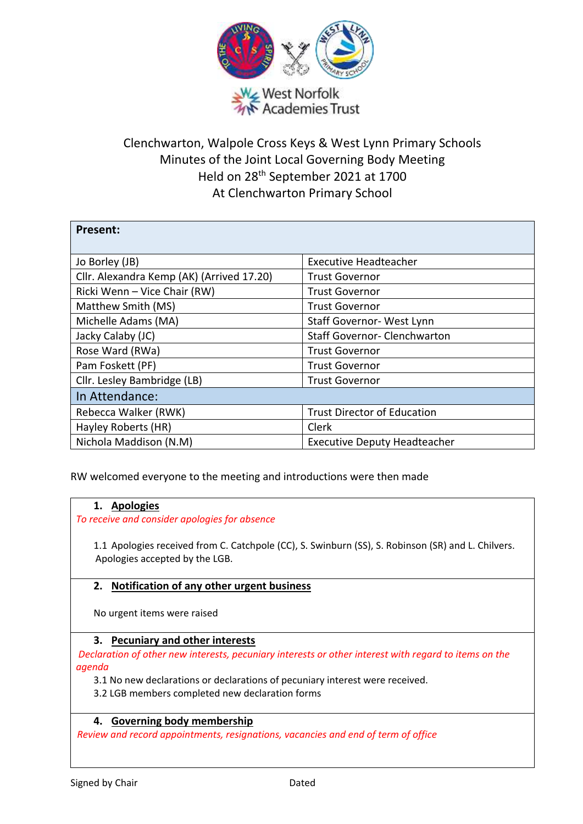

# Clenchwarton, Walpole Cross Keys & West Lynn Primary Schools Minutes of the Joint Local Governing Body Meeting Held on 28th September 2021 at 1700 At Clenchwarton Primary School

| <b>Present:</b>                           |                                     |
|-------------------------------------------|-------------------------------------|
| Jo Borley (JB)                            | <b>Executive Headteacher</b>        |
| Cllr. Alexandra Kemp (AK) (Arrived 17.20) | <b>Trust Governor</b>               |
| Ricki Wenn - Vice Chair (RW)              | <b>Trust Governor</b>               |
| Matthew Smith (MS)                        | <b>Trust Governor</b>               |
| Michelle Adams (MA)                       | Staff Governor- West Lynn           |
| Jacky Calaby (JC)                         | <b>Staff Governor- Clenchwarton</b> |
| Rose Ward (RWa)                           | <b>Trust Governor</b>               |
| Pam Foskett (PF)                          | <b>Trust Governor</b>               |
| Cllr. Lesley Bambridge (LB)               | <b>Trust Governor</b>               |
| In Attendance:                            |                                     |
| Rebecca Walker (RWK)                      | <b>Trust Director of Education</b>  |
| Hayley Roberts (HR)                       | Clerk                               |
| Nichola Maddison (N.M)                    | <b>Executive Deputy Headteacher</b> |

RW welcomed everyone to the meeting and introductions were then made

### **1. Apologies**

*To receive and consider apologies for absence*

1.1 Apologies received from C. Catchpole (CC), S. Swinburn (SS), S. Robinson (SR) and L. Chilvers. Apologies accepted by the LGB.

### **2. Notification of any other urgent business**

No urgent items were raised

### **3. Pecuniary and other interests**

*Declaration of other new interests, pecuniary interests or other interest with regard to items on the agenda*

3.1 No new declarations or declarations of pecuniary interest were received.

3.2 LGB members completed new declaration forms

### **4. Governing body membership**

*Review and record appointments, resignations, vacancies and end of term of office*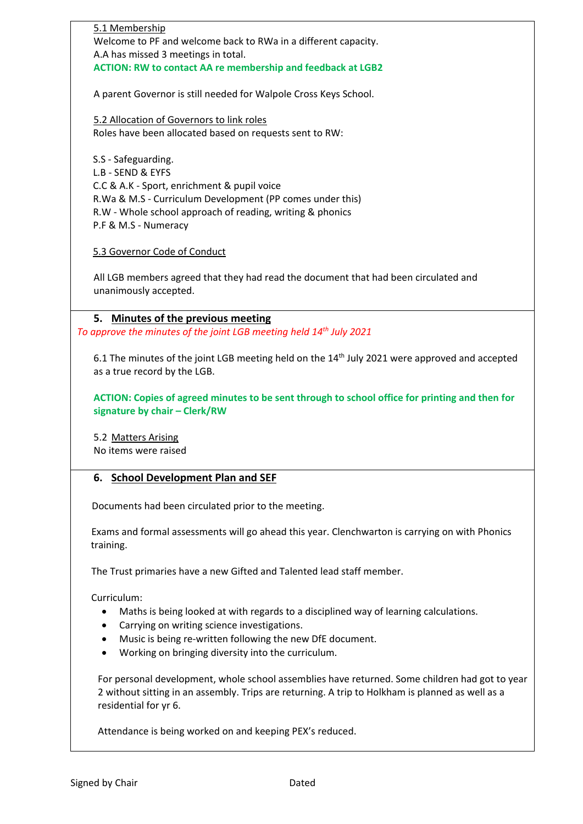5.1 Membership Welcome to PF and welcome back to RWa in a different capacity. A.A has missed 3 meetings in total. **ACTION: RW to contact AA re membership and feedback at LGB2** A parent Governor is still needed for Walpole Cross Keys School. 5.2 Allocation of Governors to link roles Roles have been allocated based on requests sent to RW:

 S.S - Safeguarding. L.B - SEND & EYFS C.C & A.K - Sport, enrichment & pupil voice R.Wa & M.S - Curriculum Development (PP comes under this) R.W - Whole school approach of reading, writing & phonics P.F & M.S - Numeracy

5.3 Governor Code of Conduct

All LGB members agreed that they had read the document that had been circulated and unanimously accepted.

**5. Minutes of the previous meeting**

*To approve the minutes of the joint LGB meeting held 14th July 2021*

6.1 The minutes of the joint LGB meeting held on the  $14<sup>th</sup>$  July 2021 were approved and accepted as a true record by the LGB.

**ACTION: Copies of agreed minutes to be sent through to school office for printing and then for signature by chair – Clerk/RW**

5.2 Matters Arising No items were raised

### **6. School Development Plan and SEF**

Documents had been circulated prior to the meeting.

 Exams and formal assessments will go ahead this year. Clenchwarton is carrying on with Phonics training.

The Trust primaries have a new Gifted and Talented lead staff member.

Curriculum:

- Maths is being looked at with regards to a disciplined way of learning calculations.
- Carrying on writing science investigations.
- Music is being re-written following the new DfE document.
- Working on bringing diversity into the curriculum.

For personal development, whole school assemblies have returned. Some children had got to year 2 without sitting in an assembly. Trips are returning. A trip to Holkham is planned as well as a residential for yr 6.

Attendance is being worked on and keeping PEX's reduced.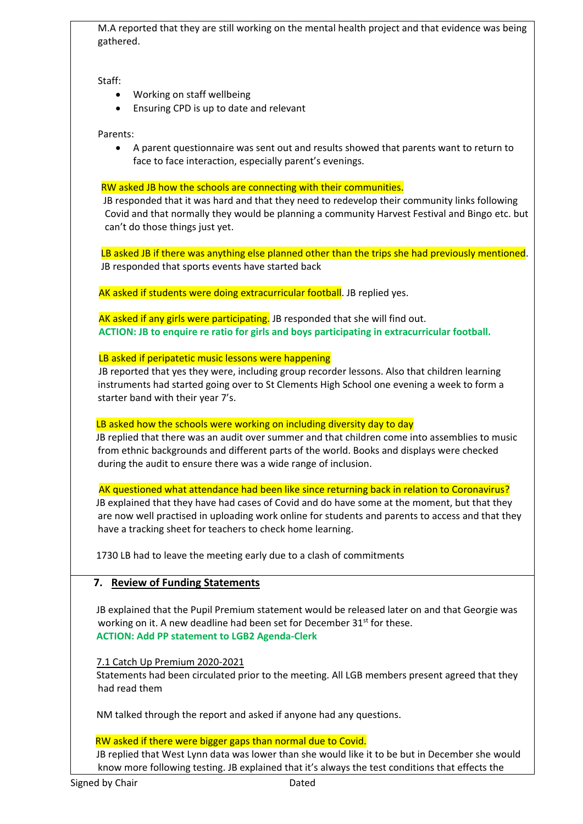M.A reported that they are still working on the mental health project and that evidence was being gathered.

Staff:

- Working on staff wellbeing
- Ensuring CPD is up to date and relevant

### Parents:

 A parent questionnaire was sent out and results showed that parents want to return to face to face interaction, especially parent's evenings.

#### RW asked JB how the schools are connecting with their communities.

 JB responded that it was hard and that they need to redevelop their community links following Covid and that normally they would be planning a community Harvest Festival and Bingo etc. but can't do those things just yet.

 LB asked JB if there was anything else planned other than the trips she had previously mentioned. JB responded that sports events have started back

AK asked if students were doing extracurricular football. JB replied yes.

AK asked if any girls were participating. JB responded that she will find out. **ACTION: JB to enquire re ratio for girls and boys participating in extracurricular football.**

**LB asked if peripatetic music lessons were happening** 

 JB reported that yes they were, including group recorder lessons. Also that children learning instruments had started going over to St Clements High School one evening a week to form a starter band with their year 7's.

### LB asked how the schools were working on including diversity day to day

 JB replied that there was an audit over summer and that children come into assemblies to music from ethnic backgrounds and different parts of the world. Books and displays were checked during the audit to ensure there was a wide range of inclusion.

AK questioned what attendance had been like since returning back in relation to Coronavirus?

 JB explained that they have had cases of Covid and do have some at the moment, but that they are now well practised in uploading work online for students and parents to access and that they have a tracking sheet for teachers to check home learning.

1730 LB had to leave the meeting early due to a clash of commitments

# **7. Review of Funding Statements**

 JB explained that the Pupil Premium statement would be released later on and that Georgie was working on it. A new deadline had been set for December 31<sup>st</sup> for these. **ACTION: Add PP statement to LGB2 Agenda-Clerk**

### 7.1 Catch Up Premium 2020-2021

 Statements had been circulated prior to the meeting. All LGB members present agreed that they had read them

NM talked through the report and asked if anyone had any questions.

### RW asked if there were bigger gaps than normal due to Covid.

 JB replied that West Lynn data was lower than she would like it to be but in December she would know more following testing. JB explained that it's always the test conditions that effects the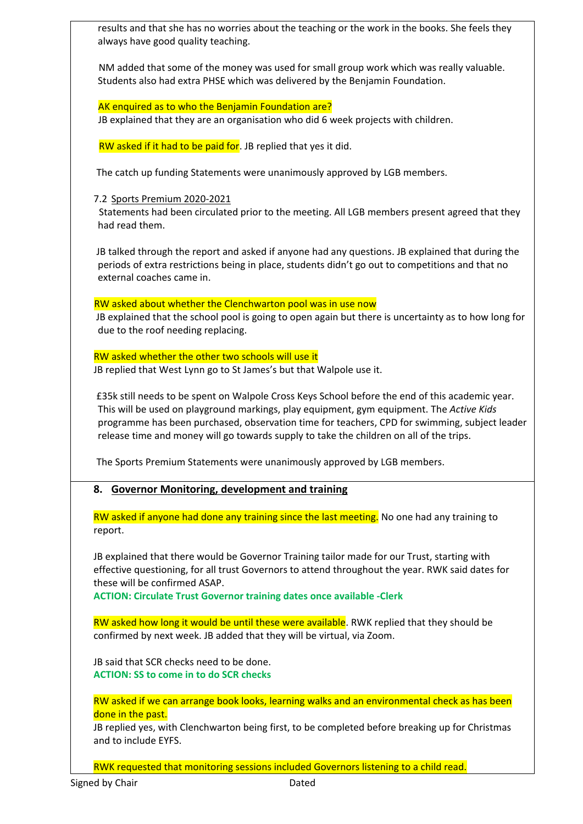results and that she has no worries about the teaching or the work in the books. She feels they always have good quality teaching.

 NM added that some of the money was used for small group work which was really valuable. Students also had extra PHSE which was delivered by the Benjamin Foundation.

### AK enquired as to who the Benjamin Foundation are?

JB explained that they are an organisation who did 6 week projects with children.

RW asked if it had to be paid for. JB replied that yes it did.

The catch up funding Statements were unanimously approved by LGB members.

7.2 Sports Premium 2020-2021

 Statements had been circulated prior to the meeting. All LGB members present agreed that they had read them.

 JB talked through the report and asked if anyone had any questions. JB explained that during the periods of extra restrictions being in place, students didn't go out to competitions and that no external coaches came in.

RW asked about whether the Clenchwarton pool was in use now

 JB explained that the school pool is going to open again but there is uncertainty as to how long for due to the roof needing replacing.

RW asked whether the other two schools will use it

JB replied that West Lynn go to St James's but that Walpole use it.

 £35k still needs to be spent on Walpole Cross Keys School before the end of this academic year. This will be used on playground markings, play equipment, gym equipment. The *Active Kids* programme has been purchased, observation time for teachers, CPD for swimming, subject leader release time and money will go towards supply to take the children on all of the trips.

The Sports Premium Statements were unanimously approved by LGB members.

# **8. Governor Monitoring, development and training**

RW asked if anyone had done any training since the last meeting. No one had any training to report.

JB explained that there would be Governor Training tailor made for our Trust, starting with effective questioning, for all trust Governors to attend throughout the year. RWK said dates for these will be confirmed ASAP.

**ACTION: Circulate Trust Governor training dates once available -Clerk**

RW asked how long it would be until these were available. RWK replied that they should be confirmed by next week. JB added that they will be virtual, via Zoom.

JB said that SCR checks need to be done. **ACTION: SS to come in to do SCR checks**

RW asked if we can arrange book looks, learning walks and an environmental check as has been done in the past.

JB replied yes, with Clenchwarton being first, to be completed before breaking up for Christmas and to include EYFS.

RWK requested that monitoring sessions included Governors listening to a child read.